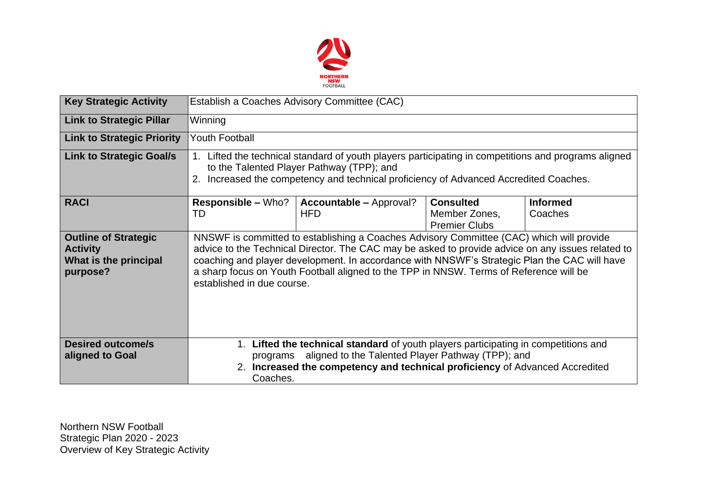

| <b>Key Strategic Activity</b>                                                       | Establish a Coaches Advisory Committee (CAC)                                                                                                                                                                                                                                                                                                                                                                          |                                              |                                                           |                            |  |  |  |
|-------------------------------------------------------------------------------------|-----------------------------------------------------------------------------------------------------------------------------------------------------------------------------------------------------------------------------------------------------------------------------------------------------------------------------------------------------------------------------------------------------------------------|----------------------------------------------|-----------------------------------------------------------|----------------------------|--|--|--|
| <b>Link to Strategic Pillar</b>                                                     | Winning                                                                                                                                                                                                                                                                                                                                                                                                               |                                              |                                                           |                            |  |  |  |
| <b>Link to Strategic Priority</b>                                                   | <b>Youth Football</b>                                                                                                                                                                                                                                                                                                                                                                                                 |                                              |                                                           |                            |  |  |  |
| <b>Link to Strategic Goal/s</b>                                                     | 1. Lifted the technical standard of youth players participating in competitions and programs aligned<br>to the Talented Player Pathway (TPP); and<br>2. Increased the competency and technical proficiency of Advanced Accredited Coaches.                                                                                                                                                                            |                                              |                                                           |                            |  |  |  |
| <b>RACI</b>                                                                         | <b>Responsible – Who?</b><br>TD                                                                                                                                                                                                                                                                                                                                                                                       | <b>Accountable – Approval?</b><br><b>HFD</b> | <b>Consulted</b><br>Member Zones,<br><b>Premier Clubs</b> | <b>Informed</b><br>Coaches |  |  |  |
| <b>Outline of Strategic</b><br><b>Activity</b><br>What is the principal<br>purpose? | NNSWF is committed to establishing a Coaches Advisory Committee (CAC) which will provide<br>advice to the Technical Director. The CAC may be asked to provide advice on any issues related to<br>coaching and player development. In accordance with NNSWF's Strategic Plan the CAC will have<br>a sharp focus on Youth Football aligned to the TPP in NNSW. Terms of Reference will be<br>established in due course. |                                              |                                                           |                            |  |  |  |
| <b>Desired outcome/s</b><br>aligned to Goal                                         | 1. Lifted the technical standard of youth players participating in competitions and<br>aligned to the Talented Player Pathway (TPP); and<br>programs<br>2. Increased the competency and technical proficiency of Advanced Accredited<br>Coaches.                                                                                                                                                                      |                                              |                                                           |                            |  |  |  |

Northern NSW Football Strategic Plan 2020 - 2023 Overview of Key Strategic Activity